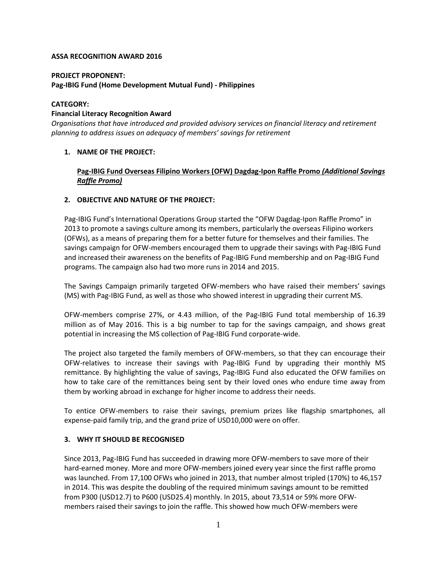### **ASSA RECOGNITION AWARD 2016**

## **PROJECT PROPONENT:**

### **Pag-IBIG Fund (Home Development Mutual Fund) - Philippines**

### **CATEGORY:**

### **Financial Literacy Recognition Award**

*Organisations that have introduced and provided advisory services on financial literacy and retirement planning to address issues on adequacy of members' savings for retirement*

## **1. NAME OF THE PROJECT:**

# **Pag-IBIG Fund Overseas Filipino Workers (OFW) Dagdag-Ipon Raffle Promo** *(Additional Savings Raffle Promo)*

### **2. OBJECTIVE AND NATURE OF THE PROJECT:**

Pag-IBIG Fund's International Operations Group started the "OFW Dagdag-Ipon Raffle Promo" in 2013 to promote a savings culture among its members, particularly the overseas Filipino workers (OFWs), as a means of preparing them for a better future for themselves and their families. The savings campaign for OFW-members encouraged them to upgrade their savings with Pag-IBIG Fund and increased their awareness on the benefits of Pag-IBIG Fund membership and on Pag-IBIG Fund programs. The campaign also had two more runs in 2014 and 2015.

The Savings Campaign primarily targeted OFW-members who have raised their members' savings (MS) with Pag-IBIG Fund, as well as those who showed interest in upgrading their current MS.

OFW-members comprise 27%, or 4.43 million, of the Pag-IBIG Fund total membership of 16.39 million as of May 2016. This is a big number to tap for the savings campaign, and shows great potential in increasing the MS collection of Pag-IBIG Fund corporate-wide.

The project also targeted the family members of OFW-members, so that they can encourage their OFW-relatives to increase their savings with Pag-IBIG Fund by upgrading their monthly MS remittance. By highlighting the value of savings, Pag-IBIG Fund also educated the OFW families on how to take care of the remittances being sent by their loved ones who endure time away from them by working abroad in exchange for higher income to address their needs.

To entice OFW-members to raise their savings, premium prizes like flagship smartphones, all expense-paid family trip, and the grand prize of USD10,000 were on offer.

## **3. WHY IT SHOULD BE RECOGNISED**

Since 2013, Pag-IBIG Fund has succeeded in drawing more OFW-members to save more of their hard-earned money. More and more OFW-members joined every year since the first raffle promo was launched. From 17,100 OFWs who joined in 2013, that number almost tripled (170%) to 46,157 in 2014. This was despite the doubling of the required minimum savings amount to be remitted from P300 (USD12.7) to P600 (USD25.4) monthly. In 2015, about 73,514 or 59% more OFWmembers raised their savings to join the raffle. This showed how much OFW-members were